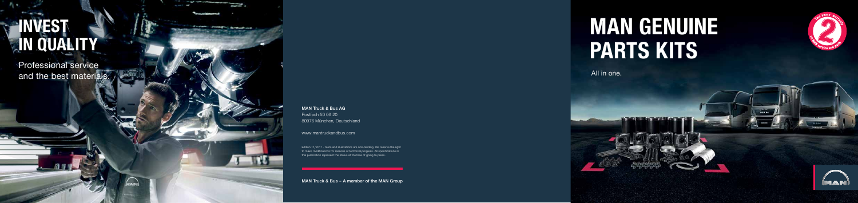MAN Truck & Bus – A member of the MAN Group

Edition 11/2017 · Texts and illustrations are non-binding. We reserve the right to make modifications for reasons of technical progress. All specifications in this publication represent the status at the time of going to press.

Professional service and the best materials.

#### MAN Truck & Bus AG

the party of the conditions of the property of the conditions of the condition of the condition of the condition of the condition of the condition of the condition of the condition of the condition of the condition of the

" Form - Printing in American con-

Postfach 50 06 20 80976 München, Deutschland

www.mantruckandbus.com

## **INVEST IN QUALITY**

# **MAN GENUINE PARTS Kits**

All in one.